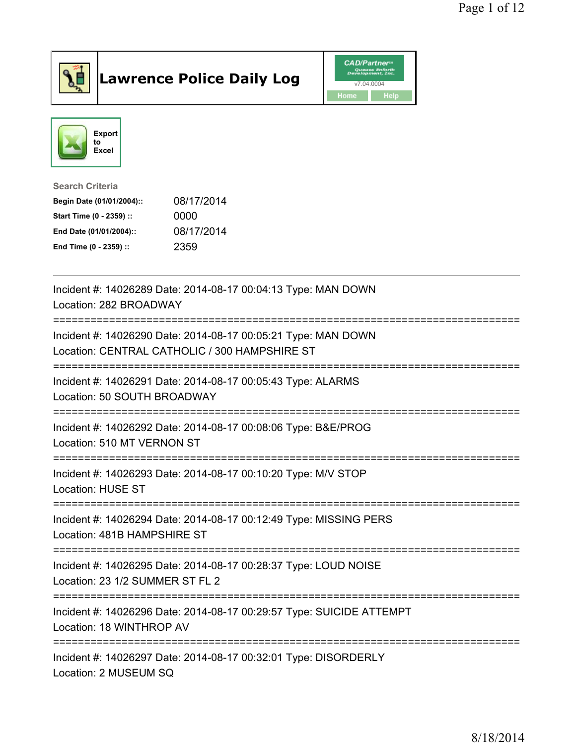

## Lawrence Police Daily Log Value of the VAD/Partner





Search Criteria

| Begin Date (01/01/2004):: | 08/17/2014 |
|---------------------------|------------|
| Start Time (0 - 2359) ::  | 0000       |
| End Date (01/01/2004)::   | 08/17/2014 |
| End Time (0 - 2359) ::    | 2359       |

| Incident #: 14026289 Date: 2014-08-17 00:04:13 Type: MAN DOWN<br>Location: 282 BROADWAY                                                       |
|-----------------------------------------------------------------------------------------------------------------------------------------------|
| Incident #: 14026290 Date: 2014-08-17 00:05:21 Type: MAN DOWN<br>Location: CENTRAL CATHOLIC / 300 HAMPSHIRE ST<br>--------------------------- |
| Incident #: 14026291 Date: 2014-08-17 00:05:43 Type: ALARMS<br>Location: 50 SOUTH BROADWAY                                                    |
| Incident #: 14026292 Date: 2014-08-17 00:08:06 Type: B&E/PROG<br>Location: 510 MT VERNON ST                                                   |
| Incident #: 14026293 Date: 2014-08-17 00:10:20 Type: M/V STOP<br><b>Location: HUSE ST</b>                                                     |
| Incident #: 14026294 Date: 2014-08-17 00:12:49 Type: MISSING PERS<br>Location: 481B HAMPSHIRE ST                                              |
| Incident #: 14026295 Date: 2014-08-17 00:28:37 Type: LOUD NOISE<br>Location: 23 1/2 SUMMER ST FL 2                                            |
| Incident #: 14026296 Date: 2014-08-17 00:29:57 Type: SUICIDE ATTEMPT<br>Location: 18 WINTHROP AV                                              |
| Incident #: 14026297 Date: 2014-08-17 00:32:01 Type: DISORDERLY<br>Location: 2 MUSEUM SQ                                                      |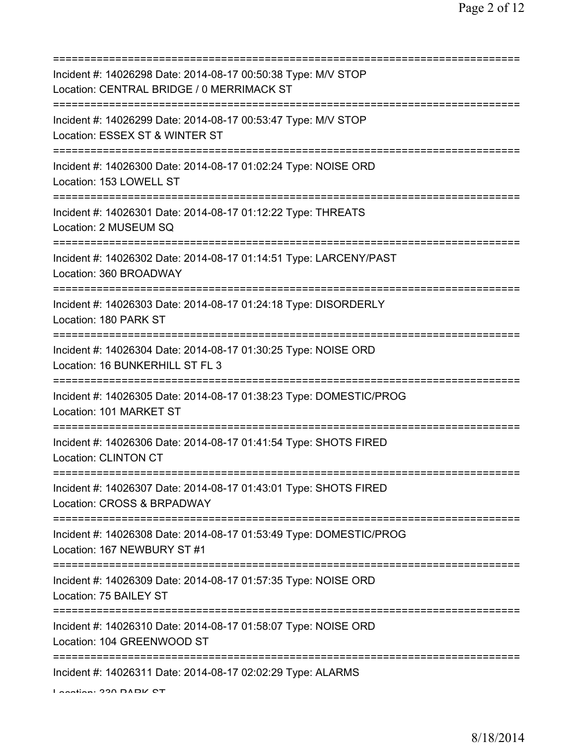| Incident #: 14026298 Date: 2014-08-17 00:50:38 Type: M/V STOP<br>Location: CENTRAL BRIDGE / 0 MERRIMACK ST                           |
|--------------------------------------------------------------------------------------------------------------------------------------|
| Incident #: 14026299 Date: 2014-08-17 00:53:47 Type: M/V STOP<br>Location: ESSEX ST & WINTER ST                                      |
| Incident #: 14026300 Date: 2014-08-17 01:02:24 Type: NOISE ORD<br>Location: 153 LOWELL ST                                            |
| Incident #: 14026301 Date: 2014-08-17 01:12:22 Type: THREATS<br>Location: 2 MUSEUM SQ                                                |
| Incident #: 14026302 Date: 2014-08-17 01:14:51 Type: LARCENY/PAST<br>Location: 360 BROADWAY                                          |
| =====================================<br>Incident #: 14026303 Date: 2014-08-17 01:24:18 Type: DISORDERLY<br>Location: 180 PARK ST    |
| ===============================<br>Incident #: 14026304 Date: 2014-08-17 01:30:25 Type: NOISE ORD<br>Location: 16 BUNKERHILL ST FL 3 |
| Incident #: 14026305 Date: 2014-08-17 01:38:23 Type: DOMESTIC/PROG<br>Location: 101 MARKET ST                                        |
| Incident #: 14026306 Date: 2014-08-17 01:41:54 Type: SHOTS FIRED<br><b>Location: CLINTON CT</b>                                      |
| Incident #: 14026307 Date: 2014-08-17 01:43:01 Type: SHOTS FIRED<br>Location: CROSS & BRPADWAY                                       |
| :===========<br>Incident #: 14026308 Date: 2014-08-17 01:53:49 Type: DOMESTIC/PROG<br>Location: 167 NEWBURY ST #1                    |
| Incident #: 14026309 Date: 2014-08-17 01:57:35 Type: NOISE ORD<br>Location: 75 BAILEY ST                                             |
| Incident #: 14026310 Date: 2014-08-17 01:58:07 Type: NOISE ORD<br>Location: 104 GREENWOOD ST                                         |
| Incident #: 14026311 Date: 2014-08-17 02:02:29 Type: ALARMS                                                                          |

Location: 330 PARK ST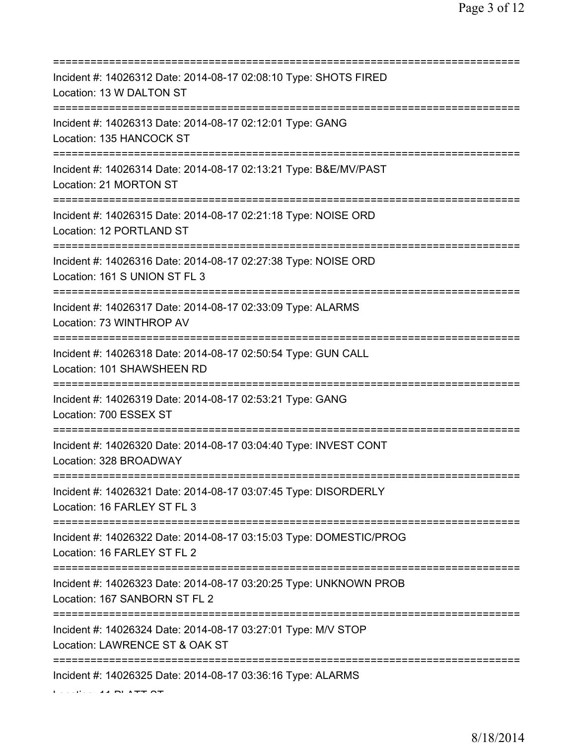| Incident #: 14026312 Date: 2014-08-17 02:08:10 Type: SHOTS FIRED<br>Location: 13 W DALTON ST                                                |
|---------------------------------------------------------------------------------------------------------------------------------------------|
| ====================<br>Incident #: 14026313 Date: 2014-08-17 02:12:01 Type: GANG<br>Location: 135 HANCOCK ST                               |
| Incident #: 14026314 Date: 2014-08-17 02:13:21 Type: B&E/MV/PAST<br>Location: 21 MORTON ST                                                  |
| Incident #: 14026315 Date: 2014-08-17 02:21:18 Type: NOISE ORD<br>Location: 12 PORTLAND ST                                                  |
| Incident #: 14026316 Date: 2014-08-17 02:27:38 Type: NOISE ORD<br>Location: 161 S UNION ST FL 3                                             |
| Incident #: 14026317 Date: 2014-08-17 02:33:09 Type: ALARMS<br>Location: 73 WINTHROP AV<br>;===============================                 |
| Incident #: 14026318 Date: 2014-08-17 02:50:54 Type: GUN CALL<br>Location: 101 SHAWSHEEN RD                                                 |
| Incident #: 14026319 Date: 2014-08-17 02:53:21 Type: GANG<br>Location: 700 ESSEX ST                                                         |
| Incident #: 14026320 Date: 2014-08-17 03:04:40 Type: INVEST CONT<br>Location: 328 BROADWAY                                                  |
| Incident #: 14026321 Date: 2014-08-17 03:07:45 Type: DISORDERLY<br>Location: 16 FARLEY ST FL 3                                              |
| Incident #: 14026322 Date: 2014-08-17 03:15:03 Type: DOMESTIC/PROG<br>Location: 16 FARLEY ST FL 2<br>;===================================== |
| Incident #: 14026323 Date: 2014-08-17 03:20:25 Type: UNKNOWN PROB<br>Location: 167 SANBORN ST FL 2                                          |
| Incident #: 14026324 Date: 2014-08-17 03:27:01 Type: M/V STOP<br>Location: LAWRENCE ST & OAK ST                                             |
| Incident #: 14026325 Date: 2014-08-17 03:36:16 Type: ALARMS<br>LEE CE AA DIATT OT                                                           |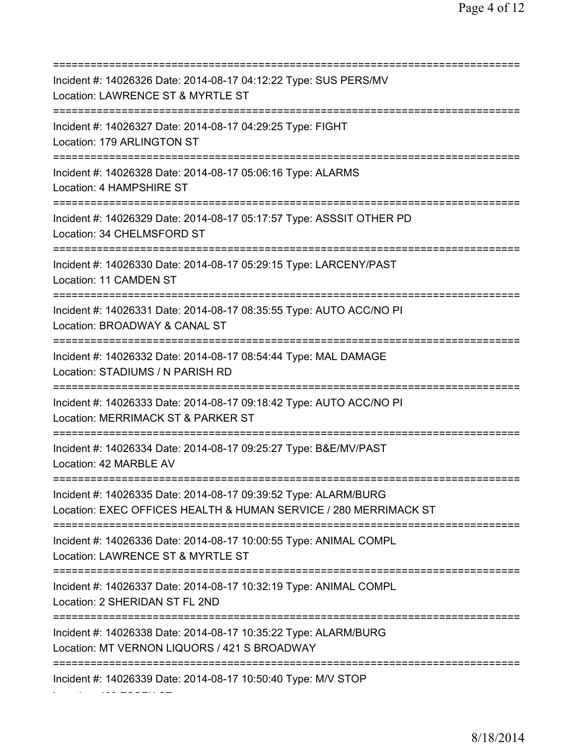=========================================================================== Incident #: 14026326 Date: 2014-08-17 04:12:22 Type: SUS PERS/MV Location: LAWRENCE ST & MYRTLE ST =========================================================================== Incident #: 14026327 Date: 2014-08-17 04:29:25 Type: FIGHT Location: 179 ARLINGTON ST =========================================================================== Incident #: 14026328 Date: 2014-08-17 05:06:16 Type: ALARMS Location: 4 HAMPSHIRE ST =========================================================================== Incident #: 14026329 Date: 2014-08-17 05:17:57 Type: ASSSIT OTHER PD Location: 34 CHELMSFORD ST =========================================================================== Incident #: 14026330 Date: 2014-08-17 05:29:15 Type: LARCENY/PAST Location: 11 CAMDEN ST =========================================================================== Incident #: 14026331 Date: 2014-08-17 08:35:55 Type: AUTO ACC/NO PI Location: BROADWAY & CANAL ST =========================================================================== Incident #: 14026332 Date: 2014-08-17 08:54:44 Type: MAL DAMAGE Location: STADIUMS / N PARISH RD =========================================================================== Incident #: 14026333 Date: 2014-08-17 09:18:42 Type: AUTO ACC/NO PI Location: MERRIMACK ST & PARKER ST =========================================================================== Incident #: 14026334 Date: 2014-08-17 09:25:27 Type: B&E/MV/PAST Location: 42 MARBLE AV =========================================================================== Incident #: 14026335 Date: 2014-08-17 09:39:52 Type: ALARM/BURG Location: EXEC OFFICES HEALTH & HUMAN SERVICE / 280 MERRIMACK ST =========================================================================== Incident #: 14026336 Date: 2014-08-17 10:00:55 Type: ANIMAL COMPL Location: LAWRENCE ST & MYRTLE ST =========================================================================== Incident #: 14026337 Date: 2014-08-17 10:32:19 Type: ANIMAL COMPL Location: 2 SHERIDAN ST FL 2ND =========================================================================== Incident #: 14026338 Date: 2014-08-17 10:35:22 Type: ALARM/BURG Location: MT VERNON LIQUORS / 421 S BROADWAY =========================================================================== Incident #: 14026339 Date: 2014-08-17 10:50:40 Type: M/V STOP

Location: 423 ESSEX ST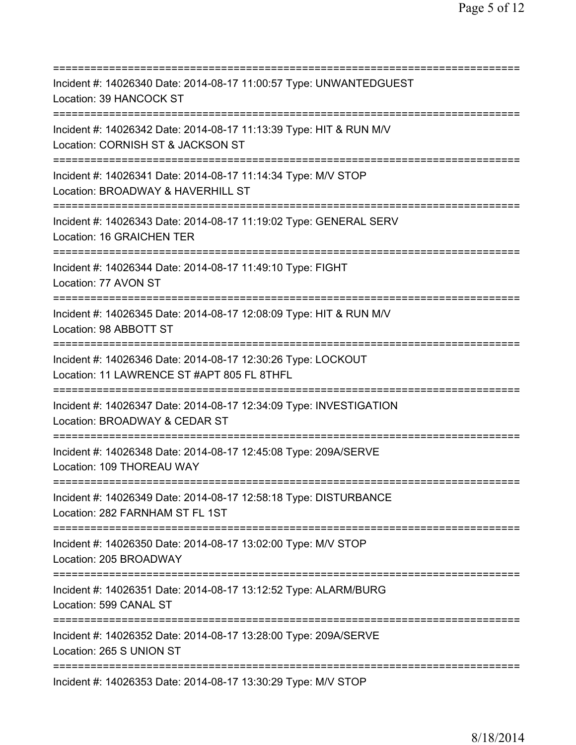| Incident #: 14026340 Date: 2014-08-17 11:00:57 Type: UNWANTEDGUEST<br>Location: 39 HANCOCK ST<br>===========================       |
|------------------------------------------------------------------------------------------------------------------------------------|
| Incident #: 14026342 Date: 2014-08-17 11:13:39 Type: HIT & RUN M/V<br>Location: CORNISH ST & JACKSON ST                            |
| Incident #: 14026341 Date: 2014-08-17 11:14:34 Type: M/V STOP<br>Location: BROADWAY & HAVERHILL ST<br>========================     |
| Incident #: 14026343 Date: 2014-08-17 11:19:02 Type: GENERAL SERV<br>Location: 16 GRAICHEN TER                                     |
| Incident #: 14026344 Date: 2014-08-17 11:49:10 Type: FIGHT<br>Location: 77 AVON ST                                                 |
| Incident #: 14026345 Date: 2014-08-17 12:08:09 Type: HIT & RUN M/V<br>Location: 98 ABBOTT ST<br>=================================  |
| Incident #: 14026346 Date: 2014-08-17 12:30:26 Type: LOCKOUT<br>Location: 11 LAWRENCE ST #APT 805 FL 8THFL                         |
| Incident #: 14026347 Date: 2014-08-17 12:34:09 Type: INVESTIGATION<br>Location: BROADWAY & CEDAR ST                                |
| :===========<br>Incident #: 14026348 Date: 2014-08-17 12:45:08 Type: 209A/SERVE<br>Location: 109 THOREAU WAY                       |
| Incident #: 14026349 Date: 2014-08-17 12:58:18 Type: DISTURBANCE<br>Location: 282 FARNHAM ST FL 1ST                                |
| Incident #: 14026350 Date: 2014-08-17 13:02:00 Type: M/V STOP<br>Location: 205 BROADWAY                                            |
| =====================================<br>Incident #: 14026351 Date: 2014-08-17 13:12:52 Type: ALARM/BURG<br>Location: 599 CANAL ST |
| Incident #: 14026352 Date: 2014-08-17 13:28:00 Type: 209A/SERVE<br>Location: 265 S UNION ST                                        |
| Incident #: 14026353 Date: 2014-08-17 13:30:29 Type: M/V STOP                                                                      |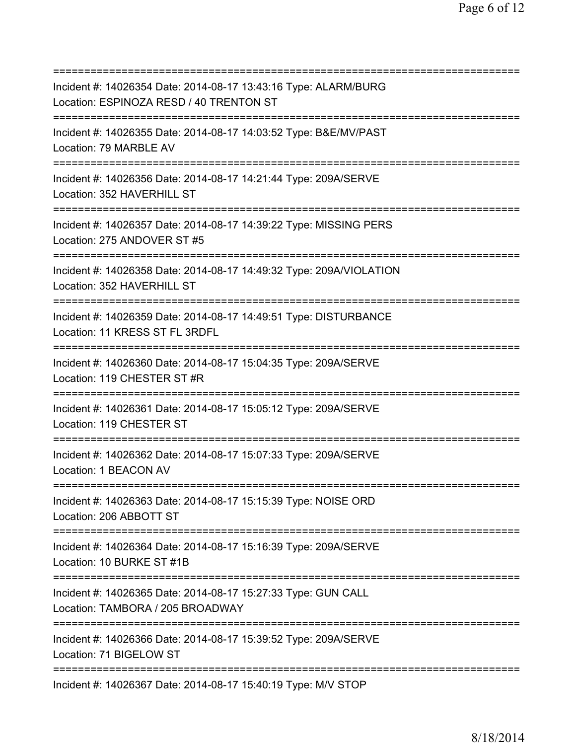=========================================================================== Incident #: 14026354 Date: 2014-08-17 13:43:16 Type: ALARM/BURG Location: ESPINOZA RESD / 40 TRENTON ST =========================================================================== Incident #: 14026355 Date: 2014-08-17 14:03:52 Type: B&E/MV/PAST Location: 79 MARBLE AV =========================================================================== Incident #: 14026356 Date: 2014-08-17 14:21:44 Type: 209A/SERVE Location: 352 HAVERHILL ST =========================================================================== Incident #: 14026357 Date: 2014-08-17 14:39:22 Type: MISSING PERS Location: 275 ANDOVER ST #5 =========================================================================== Incident #: 14026358 Date: 2014-08-17 14:49:32 Type: 209A/VIOLATION Location: 352 HAVERHILL ST =========================================================================== Incident #: 14026359 Date: 2014-08-17 14:49:51 Type: DISTURBANCE Location: 11 KRESS ST FL 3RDFL =========================================================================== Incident #: 14026360 Date: 2014-08-17 15:04:35 Type: 209A/SERVE Location: 119 CHESTER ST #R =========================================================================== Incident #: 14026361 Date: 2014-08-17 15:05:12 Type: 209A/SERVE Location: 119 CHESTER ST =========================================================================== Incident #: 14026362 Date: 2014-08-17 15:07:33 Type: 209A/SERVE Location: 1 BEACON AV =========================================================================== Incident #: 14026363 Date: 2014-08-17 15:15:39 Type: NOISE ORD Location: 206 ABBOTT ST =========================================================================== Incident #: 14026364 Date: 2014-08-17 15:16:39 Type: 209A/SERVE Location: 10 BURKE ST #1B =========================================================================== Incident #: 14026365 Date: 2014-08-17 15:27:33 Type: GUN CALL Location: TAMBORA / 205 BROADWAY =========================================================================== Incident #: 14026366 Date: 2014-08-17 15:39:52 Type: 209A/SERVE Location: 71 BIGELOW ST =========================================================================== Incident #: 14026367 Date: 2014-08-17 15:40:19 Type: M/V STOP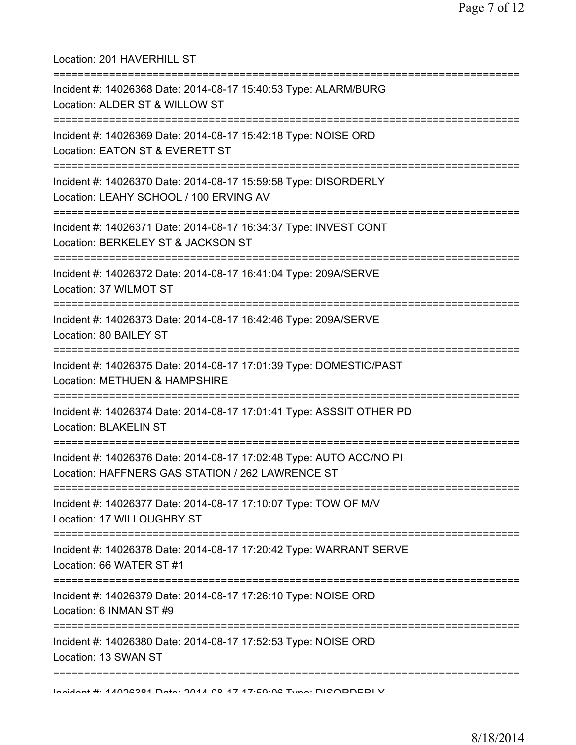| Location: 201 HAVERHILL ST                                                                                                          |
|-------------------------------------------------------------------------------------------------------------------------------------|
| Incident #: 14026368 Date: 2014-08-17 15:40:53 Type: ALARM/BURG<br>Location: ALDER ST & WILLOW ST<br>=========================      |
| Incident #: 14026369 Date: 2014-08-17 15:42:18 Type: NOISE ORD<br>Location: EATON ST & EVERETT ST                                   |
| Incident #: 14026370 Date: 2014-08-17 15:59:58 Type: DISORDERLY<br>Location: LEAHY SCHOOL / 100 ERVING AV                           |
| Incident #: 14026371 Date: 2014-08-17 16:34:37 Type: INVEST CONT<br>Location: BERKELEY ST & JACKSON ST<br>.------------------------ |
| Incident #: 14026372 Date: 2014-08-17 16:41:04 Type: 209A/SERVE<br>Location: 37 WILMOT ST                                           |
| Incident #: 14026373 Date: 2014-08-17 16:42:46 Type: 209A/SERVE<br>Location: 80 BAILEY ST                                           |
| Incident #: 14026375 Date: 2014-08-17 17:01:39 Type: DOMESTIC/PAST<br>Location: METHUEN & HAMPSHIRE                                 |
| Incident #: 14026374 Date: 2014-08-17 17:01:41 Type: ASSSIT OTHER PD<br>Location: BLAKELIN ST                                       |
| Incident #: 14026376 Date: 2014-08-17 17:02:48 Type: AUTO ACC/NO PI<br>Location: HAFFNERS GAS STATION / 262 LAWRENCE ST             |
| Incident #: 14026377 Date: 2014-08-17 17:10:07 Type: TOW OF M/V<br>Location: 17 WILLOUGHBY ST                                       |
| Incident #: 14026378 Date: 2014-08-17 17:20:42 Type: WARRANT SERVE<br>Location: 66 WATER ST #1                                      |
| Incident #: 14026379 Date: 2014-08-17 17:26:10 Type: NOISE ORD<br>Location: 6 INMAN ST #9                                           |
| Incident #: 14026380 Date: 2014-08-17 17:52:53 Type: NOISE ORD<br>Location: 13 SWAN ST                                              |
| Indident #: 4 4000004 Data: 0044 00 47 47.50.00 Tune: DIOODDEDI V                                                                   |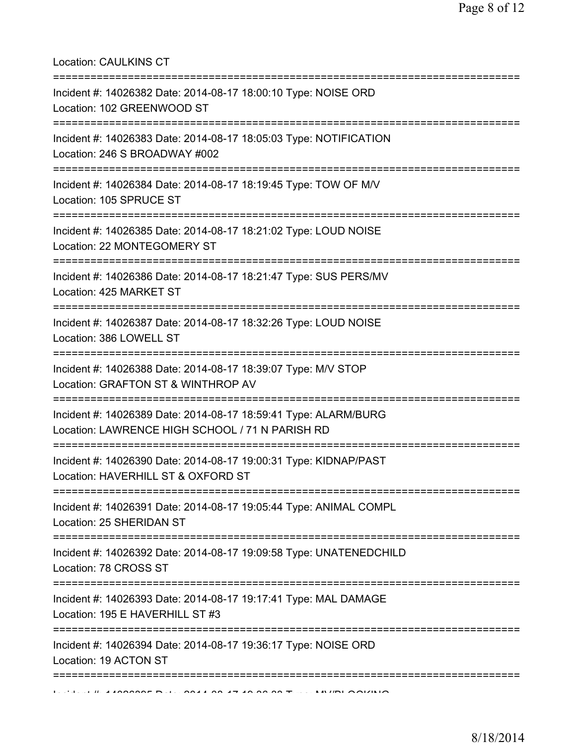Location: CAULKINS CT

| Incident #: 14026382 Date: 2014-08-17 18:00:10 Type: NOISE ORD<br>Location: 102 GREENWOOD ST                                |
|-----------------------------------------------------------------------------------------------------------------------------|
| =====================<br>Incident #: 14026383 Date: 2014-08-17 18:05:03 Type: NOTIFICATION<br>Location: 246 S BROADWAY #002 |
| Incident #: 14026384 Date: 2014-08-17 18:19:45 Type: TOW OF M/V<br>Location: 105 SPRUCE ST                                  |
| Incident #: 14026385 Date: 2014-08-17 18:21:02 Type: LOUD NOISE<br>Location: 22 MONTEGOMERY ST                              |
| Incident #: 14026386 Date: 2014-08-17 18:21:47 Type: SUS PERS/MV<br>Location: 425 MARKET ST                                 |
| Incident #: 14026387 Date: 2014-08-17 18:32:26 Type: LOUD NOISE<br>Location: 386 LOWELL ST                                  |
| Incident #: 14026388 Date: 2014-08-17 18:39:07 Type: M/V STOP<br>Location: GRAFTON ST & WINTHROP AV                         |
| Incident #: 14026389 Date: 2014-08-17 18:59:41 Type: ALARM/BURG<br>Location: LAWRENCE HIGH SCHOOL / 71 N PARISH RD          |
| Incident #: 14026390 Date: 2014-08-17 19:00:31 Type: KIDNAP/PAST<br>Location: HAVERHILL ST & OXFORD ST                      |
| Incident #: 14026391 Date: 2014-08-17 19:05:44 Type: ANIMAL COMPL<br>Location: 25 SHERIDAN ST<br>;=====================     |
| Incident #: 14026392 Date: 2014-08-17 19:09:58 Type: UNATENEDCHILD<br>Location: 78 CROSS ST                                 |
| Incident #: 14026393 Date: 2014-08-17 19:17:41 Type: MAL DAMAGE<br>Location: 195 E HAVERHILL ST #3                          |
| Incident #: 14026394 Date: 2014-08-17 19:36:17 Type: NOISE ORD<br>Location: 19 ACTON ST                                     |
|                                                                                                                             |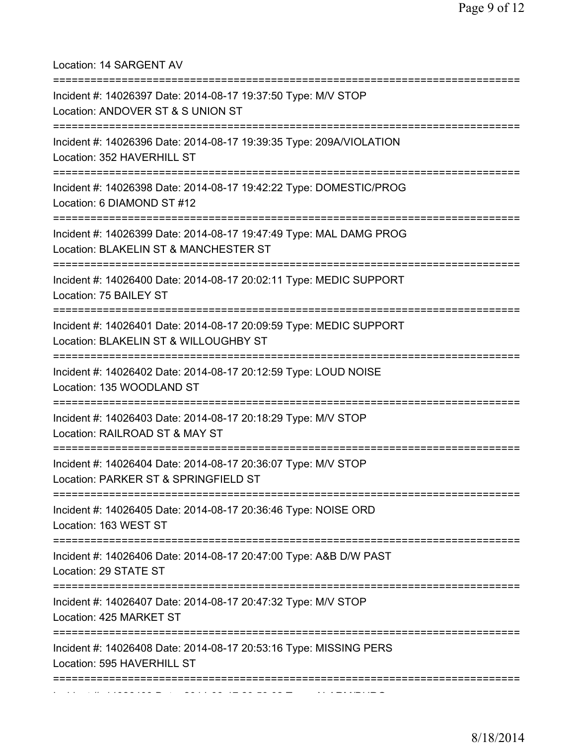Location: 14 SARGENT AV =========================================================================== Incident #: 14026397 Date: 2014-08-17 19:37:50 Type: M/V STOP Location: ANDOVER ST & S UNION ST =========================================================================== Incident #: 14026396 Date: 2014-08-17 19:39:35 Type: 209A/VIOLATION Location: 352 HAVERHILL ST =========================================================================== Incident #: 14026398 Date: 2014-08-17 19:42:22 Type: DOMESTIC/PROG Location: 6 DIAMOND ST #12 =========================================================================== Incident #: 14026399 Date: 2014-08-17 19:47:49 Type: MAL DAMG PROG Location: BLAKELIN ST & MANCHESTER ST =========================================================================== Incident #: 14026400 Date: 2014-08-17 20:02:11 Type: MEDIC SUPPORT Location: 75 BAILEY ST =========================================================================== Incident #: 14026401 Date: 2014-08-17 20:09:59 Type: MEDIC SUPPORT Location: BLAKELIN ST & WILLOUGHBY ST =========================================================================== Incident #: 14026402 Date: 2014-08-17 20:12:59 Type: LOUD NOISE Location: 135 WOODLAND ST =========================================================================== Incident #: 14026403 Date: 2014-08-17 20:18:29 Type: M/V STOP Location: RAILROAD ST & MAY ST =========================================================================== Incident #: 14026404 Date: 2014-08-17 20:36:07 Type: M/V STOP Location: PARKER ST & SPRINGFIELD ST =========================================================================== Incident #: 14026405 Date: 2014-08-17 20:36:46 Type: NOISE ORD Location: 163 WEST ST =========================================================================== Incident #: 14026406 Date: 2014-08-17 20:47:00 Type: A&B D/W PAST Location: 29 STATE ST =========================================================================== Incident #: 14026407 Date: 2014-08-17 20:47:32 Type: M/V STOP Location: 425 MARKET ST =========================================================================== Incident #: 14026408 Date: 2014-08-17 20:53:16 Type: MISSING PERS Location: 595 HAVERHILL ST =========================================================================== Incident #: 14026409 Date: 2014 08 17 20:59:02 Type: ALARM/BURG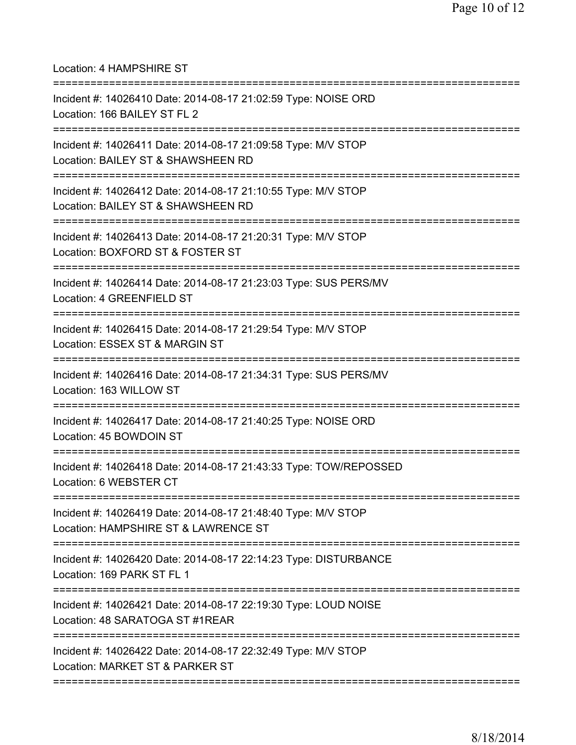Location: 4 HAMPSHIRE ST =========================================================================== Incident #: 14026410 Date: 2014-08-17 21:02:59 Type: NOISE ORD Location: 166 BAILEY ST FL 2 =========================================================================== Incident #: 14026411 Date: 2014-08-17 21:09:58 Type: M/V STOP Location: BAILEY ST & SHAWSHEEN RD =========================================================================== Incident #: 14026412 Date: 2014-08-17 21:10:55 Type: M/V STOP Location: BAILEY ST & SHAWSHEEN RD =========================================================================== Incident #: 14026413 Date: 2014-08-17 21:20:31 Type: M/V STOP Location: BOXFORD ST & FOSTER ST =========================================================================== Incident #: 14026414 Date: 2014-08-17 21:23:03 Type: SUS PERS/MV Location: 4 GREENFIELD ST =========================================================================== Incident #: 14026415 Date: 2014-08-17 21:29:54 Type: M/V STOP Location: ESSEX ST & MARGIN ST =========================================================================== Incident #: 14026416 Date: 2014-08-17 21:34:31 Type: SUS PERS/MV Location: 163 WILLOW ST =========================================================================== Incident #: 14026417 Date: 2014-08-17 21:40:25 Type: NOISE ORD Location: 45 BOWDOIN ST =========================================================================== Incident #: 14026418 Date: 2014-08-17 21:43:33 Type: TOW/REPOSSED Location: 6 WEBSTER CT =========================================================================== Incident #: 14026419 Date: 2014-08-17 21:48:40 Type: M/V STOP Location: HAMPSHIRE ST & LAWRENCE ST =========================================================================== Incident #: 14026420 Date: 2014-08-17 22:14:23 Type: DISTURBANCE Location: 169 PARK ST FL 1 =========================================================================== Incident #: 14026421 Date: 2014-08-17 22:19:30 Type: LOUD NOISE Location: 48 SARATOGA ST #1REAR =========================================================================== Incident #: 14026422 Date: 2014-08-17 22:32:49 Type: M/V STOP Location: MARKET ST & PARKER ST ===========================================================================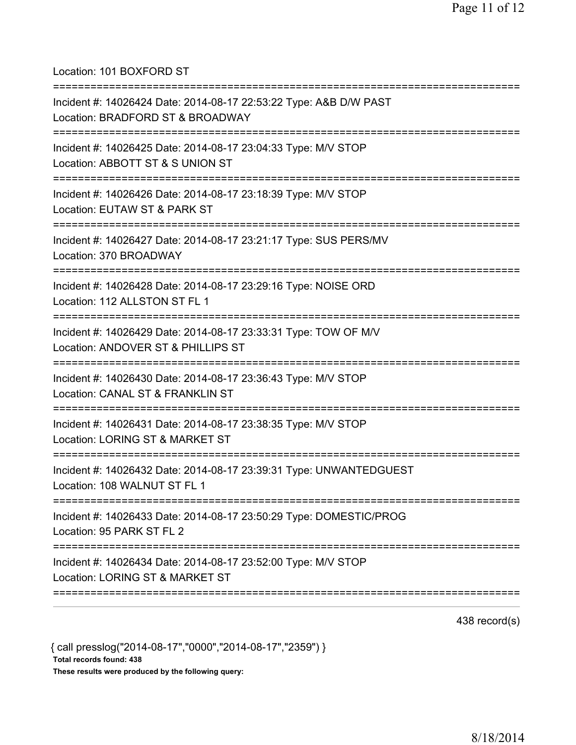Location: 101 BOXFORD ST =========================================================================== Incident #: 14026424 Date: 2014-08-17 22:53:22 Type: A&B D/W PAST Location: BRADFORD ST & BROADWAY =========================================================================== Incident #: 14026425 Date: 2014-08-17 23:04:33 Type: M/V STOP Location: ABBOTT ST & S UNION ST =========================================================================== Incident #: 14026426 Date: 2014-08-17 23:18:39 Type: M/V STOP Location: EUTAW ST & PARK ST =========================================================================== Incident #: 14026427 Date: 2014-08-17 23:21:17 Type: SUS PERS/MV Location: 370 BROADWAY =========================================================================== Incident #: 14026428 Date: 2014-08-17 23:29:16 Type: NOISE ORD Location: 112 ALLSTON ST FL 1 =========================================================================== Incident #: 14026429 Date: 2014-08-17 23:33:31 Type: TOW OF M/V Location: ANDOVER ST & PHILLIPS ST =========================================================================== Incident #: 14026430 Date: 2014-08-17 23:36:43 Type: M/V STOP Location: CANAL ST & FRANKLIN ST =========================================================================== Incident #: 14026431 Date: 2014-08-17 23:38:35 Type: M/V STOP Location: LORING ST & MARKET ST =========================================================================== Incident #: 14026432 Date: 2014-08-17 23:39:31 Type: UNWANTEDGUEST Location: 108 WALNUT ST FL 1 =========================================================================== Incident #: 14026433 Date: 2014-08-17 23:50:29 Type: DOMESTIC/PROG Location: 95 PARK ST FL 2 =========================================================================== Incident #: 14026434 Date: 2014-08-17 23:52:00 Type: M/V STOP Location: LORING ST & MARKET ST ===========================================================================

438 record(s)

{ call presslog("2014-08-17","0000","2014-08-17","2359") } Total records found: 438 These results were produced by the following query: